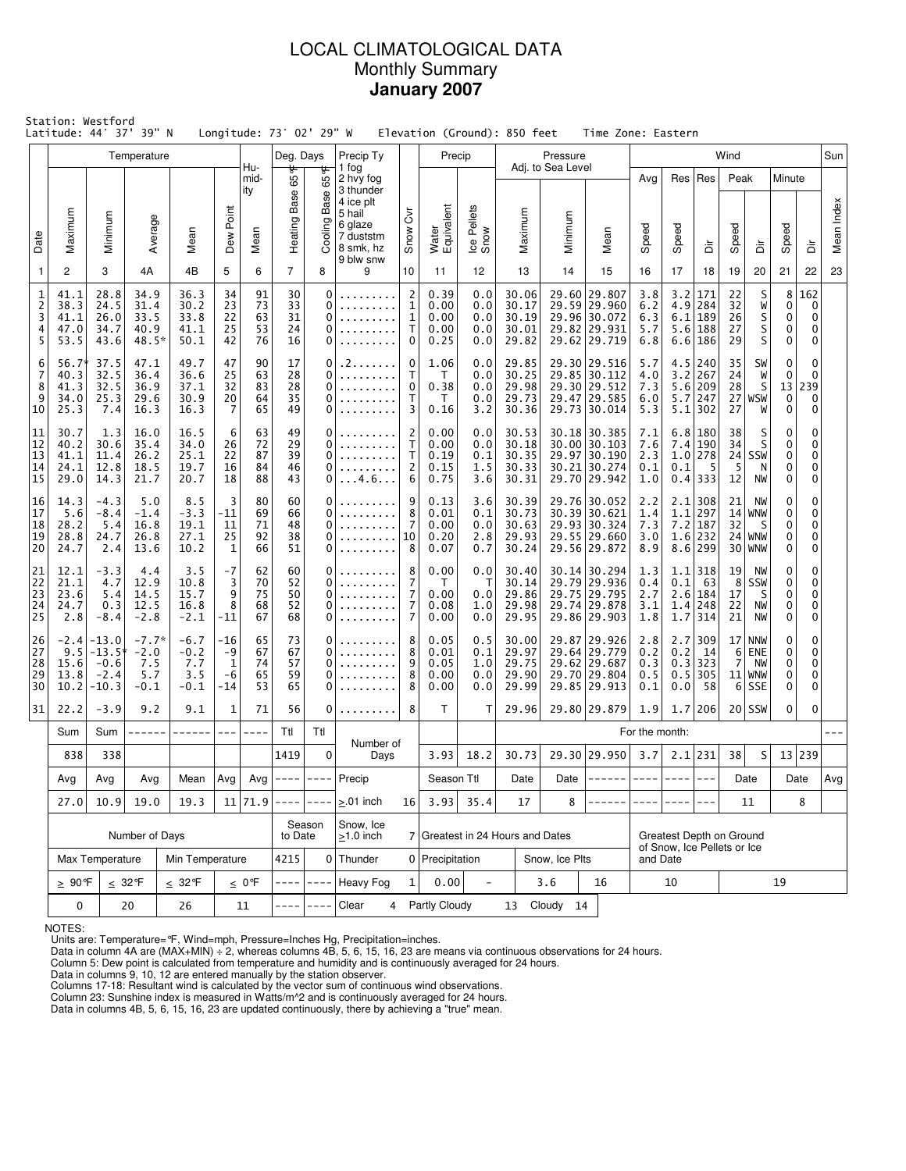## LOCAL CLIMATOLOGICAL DATA Monthly Summary **January 2007**

|                                    | Station: Westford<br>Latitude: 44° 37' 39" N |                                                                           |                                           |                                          |                                          |                            | Longitude: 73° 02' 29" W   |                                        |                                                                                                          |                                               | Elevation (Ground): 850 feet         |                                 |                                           |                                  | Time Zone: Eastern                                                           |                                         |                                 |                                                                     |                            |                                                    |                               |                                   |            |
|------------------------------------|----------------------------------------------|---------------------------------------------------------------------------|-------------------------------------------|------------------------------------------|------------------------------------------|----------------------------|----------------------------|----------------------------------------|----------------------------------------------------------------------------------------------------------|-----------------------------------------------|--------------------------------------|---------------------------------|-------------------------------------------|----------------------------------|------------------------------------------------------------------------------|-----------------------------------------|---------------------------------|---------------------------------------------------------------------|----------------------------|----------------------------------------------------|-------------------------------|-----------------------------------|------------|
|                                    |                                              |                                                                           | Temperature                               |                                          |                                          | Hu-                        | Deg. Days                  |                                        | Precip Ty                                                                                                |                                               | Precip                               |                                 |                                           | Pressure                         |                                                                              |                                         |                                 |                                                                     | Wind                       |                                                    |                               |                                   | Sun        |
| Date                               | Maximum                                      | Minimum                                                                   | Average                                   | Mean                                     | Dew Point                                | mid-<br>ity<br>Mean        | Heating Base 65 F          | ᡃᡛ<br>65<br>Base<br>Cooling            | 1 fog<br>2 hvy fog<br>3 thunder<br>4 ice plt<br>5 hail<br>6 glaze<br>7 duststm<br>8 smk, hz<br>9 blw snw | δ<br>Snow                                     | Water<br>Equivalent                  | Ice Pellets<br>Snow             | Maximum                                   | Adj. to Sea Level<br>Minimum     | Mean                                                                         | Avg<br>Speed                            | Speed                           | Res   Res<br>à                                                      | Peak<br>Speed              | ă                                                  | Minute<br>Speed               | ă                                 | Mean Index |
| $\mathbf{1}$                       | 2                                            | 3                                                                         | 4A                                        | 4B                                       | 5                                        | 6                          | $\overline{7}$             | 8                                      | 9                                                                                                        | 10                                            | 11                                   | 12                              | 13                                        | 14                               | 15                                                                           | 16                                      | 17                              | 18                                                                  | 19                         | 20                                                 | 21                            | 22                                | 23         |
| 1<br>$\overline{c}$<br>3<br>4<br>5 | 41.1<br>38.3<br>41.1<br>47.0<br>53.5         | 28.8<br>24.5<br>26.0<br>34.7<br>43.6                                      | 34.9<br>31.4<br>33.5<br>40.9<br>48.5*     | 36.3<br>30.2<br>33.8<br>41.1<br>50.1     | 34<br>23<br>22<br>25<br>42               | 91<br>73<br>63<br>53<br>76 | 30<br>33<br>31<br>24<br>16 | $\mathbf 0$<br>0<br>0<br>0<br>$\Omega$ |                                                                                                          | $\overline{2}$<br>1<br>$\mathbf{1}$<br>т<br>0 | 0.39<br>0.00<br>0.00<br>0.00<br>0.25 | 0.0<br>0.0<br>0.0<br>0.0<br>0.0 | 30.06<br>30.17<br>30.19<br>30.01<br>29.82 | 29.82                            | 29.60 29.807<br>29.59 29.960<br>29.96 30.072<br>29.931<br>29.62 29.719       | 3.8<br>6.2<br>6.3<br>5.7<br>6.8         | 3.2<br>4.9<br>6.1               | 171<br>284<br>189<br>5.6 188<br>6.6 186                             | 22<br>32<br>26<br>27<br>29 | S<br>W<br>S<br>S<br>S                              | 8<br>0<br>0<br>0<br>0         | 162<br>0<br>0<br>0<br>$\mathbf 0$ |            |
| 6<br>7<br>8<br>9<br>10             | 56.7*<br>40.3<br>41.3<br>34.0<br>25.3        | 37.5<br>32.5<br>32.5<br>25.3<br>7.4                                       | 47.1<br>36.4<br>36.9<br>29.6<br>16.3      | 49.7<br>36.6<br>37.1<br>30.9<br>16.3     | 47<br>25<br>32<br>20<br>$\overline{7}$   | 90<br>63<br>83<br>64<br>65 | 17<br>28<br>28<br>35<br>49 | 0<br>0<br>0<br>0<br>$\Omega$           | . 2<br>.<br>.                                                                                            | 0<br>Т<br>$\Omega$<br>Т<br>3                  | 1.06<br>T<br>0.38<br>T<br>0.16       | 0.0<br>0.0<br>0.0<br>0.0<br>3.2 | 29.85<br>30.25<br>29.98<br>29.73<br>30.36 |                                  | 29.30 29.516<br>29.85 30.112<br>29.30 29.512<br>29.47 29.585<br>29.73 30.014 | 5.7<br>4.0<br>7.3<br>6.0<br>5.3         | 4.5<br>3.2<br>5.1               | 240<br>267<br>5.6 209<br>$5.7$   247<br>302                         | 35<br>24<br>28<br>27       | SW<br>W<br>S<br>$27$ WSW<br>W                      | 0<br>0<br>13<br>$\bf{0}$<br>0 | 0<br>0<br>239<br>0<br>0           |            |
| 11<br>12<br>13<br>14<br>15         | 30.7<br>40.2<br>41.1<br>24.1<br>29.0         | 1.3<br>30.6<br>11.4<br>12.8<br>14.3                                       | 16.0<br>35.4<br>26.2<br>18.5<br>21.7      | 16.5<br>34.0<br>25.1<br>19.7<br>20.7     | 6<br>26<br>22<br>16<br>18                | 63<br>72<br>87<br>84<br>88 | 49<br>29<br>39<br>46<br>43 | 0<br>0<br>0<br>0<br>0                  | .<br>. 4 . 6                                                                                             | 2<br>Т<br>T<br>2<br>6                         | 0.00<br>0.00<br>0.19<br>0.15<br>0.75 | 0.0<br>0.0<br>0.1<br>1.5<br>3.6 | 30.53<br>30.18<br>30.35<br>30.33<br>30.31 |                                  | 30.18 30.385<br>30.00 30.103<br>29.97 30.190<br>30.21 30.274<br>29.70 29.942 | 7.1<br>7.6<br>2.3<br>0.1<br>1.0         | 7.4<br>0.1                      | 6.8 180<br>190<br>$1.0$   278<br>5<br>$0.4$ 333                     | 38<br>34<br>5<br>12        | S<br>S<br>$24$ SSW<br>N<br><b>NW</b>               | 0<br>0<br>0<br>0<br>0         | 0<br>0<br>0<br>0<br>0             |            |
| 16<br>17<br>18<br>19<br>20         | 14.3<br>5.6<br>28.2<br>28.8<br>24.7          | $-4.3$<br>$-8.4$<br>5.4<br>24.7<br>2.4                                    | 5.0<br>$-1.4$<br>16.8<br>26.8<br>13.6     | 8.5<br>$-3.3$<br>19.1<br>27.1<br>10.2    | 3<br>$-11$<br>11<br>25<br>$\mathbf{1}$   | 80<br>69<br>71<br>92<br>66 | 60<br>66<br>48<br>38<br>51 | 0<br>$\Omega$<br>0<br>0<br>0           | .                                                                                                        | 9<br>8<br>7<br>10<br>8                        | 0.13<br>0.01<br>0.00<br>0.20<br>0.07 | 3.6<br>0.1<br>0.0<br>2.8<br>0.7 | 30.39<br>30.73<br>30.63<br>29.93<br>30.24 |                                  | 29.76 30.052<br>30.39 30.621<br>29.93 30.324<br>29.55 29.660<br>29.56 29.872 | 2.2<br>1.4<br>7.3<br>3.0<br>8.9         |                                 | $2.1$   308<br>$1.1$   297<br>$7.2$   187<br>1.6 232<br>$8.6$   299 | 21<br>32                   | <b>NW</b><br>$14$ WNW<br>S<br>$24$ WNW<br>30   WNW | 0<br>0<br>0<br>0<br>0         | 0<br>0<br>0<br>0<br>0             |            |
| 21<br>22<br>23<br>24<br>25         | 12.1<br>21.1<br>23.6<br>24.7<br>2.8          | $-3.3$<br>4.7<br>5.4<br>0.3<br>$-8.4$                                     | 4.4<br>12.9<br>14.5<br>12.5<br>$-2.8$     | 3.5<br>10.8<br>15.7<br>16.8<br>$-2.1$    | $-7$<br>3<br>9<br>8<br>$-11$             | 62<br>70<br>75<br>68<br>67 | 60<br>52<br>50<br>52<br>68 | 0<br>$\Omega$<br>0<br>0<br>0           |                                                                                                          | 8<br>7<br>7<br>7<br>7                         |                                      | 0.0<br>Т<br>0.0<br>1.0<br>0.0   | 30.40<br>30.14<br>29.86<br>29.98<br>29.95 |                                  | 30.14 30.294<br>29.79 29.936<br>29.75 29.795<br>29.74 29.878<br>29.86 29.903 | 1.3<br>0.4<br>2.7<br>3.1<br>1.8         | 0.1<br>1.7                      | $1.1$   318<br>-63<br>2.6 184<br>$1.4$ 248<br>314                   | 19<br>8<br>17<br>22<br>21  | NW<br>SSW<br>S<br><b>NW</b><br><b>NW</b>           | 0<br>0<br>0<br>0<br>0         | 0<br>0<br>0<br>0<br>0             |            |
| 26<br>27<br>28<br>29<br>30         | $-2.4$<br>9.5<br>15.6<br>13.8<br>10.2        | $-13.0$<br>$-13.5*$<br>$-0.6$<br>$-2.4$<br>$-10.3$                        | $-7.7*$<br>$-2.0$<br>7.5<br>5.7<br>$-0.1$ | $-6.7$<br>$-0.2$<br>7.7<br>3.5<br>$-0.1$ | -16<br>-9<br>$\mathbf{1}$<br>$-6$<br>-14 | 65<br>67<br>74<br>65<br>53 | 73<br>67<br>57<br>59<br>65 | 0<br>0<br>0<br>0<br>0                  |                                                                                                          | 8<br>8<br>0.05<br>9<br>8<br>0.00<br>8<br>0.00 |                                      | 0.5<br>0.1<br>1.0<br>0.0<br>0.0 | 30.00<br>29.97<br>29.75<br>29.90<br>29.99 |                                  | 29.87 29.926<br>29.64 29.779<br>29.62 29.687<br>29.70 29.804<br>29.85 29.913 | 2.8<br>0.2<br>0.3<br>0.5<br>0.1         | 2.7<br>0.2<br>0.3<br>0.5<br>0.0 | 309<br>14<br>323<br>305<br>58                                       | $6 \mid$<br>7<br>$6 \mid$  | $17$ NNW<br>ENE<br>NW<br>$11$ WNW<br><b>SSE</b>    | 0<br>0<br>0<br>0<br>0         | 0<br>0<br>0<br>0<br>0             |            |
| 31                                 | 22.2                                         | $-3.9$                                                                    | 9.2                                       | 9.1                                      | 1                                        | 71                         | 56                         | 0                                      |                                                                                                          | 8                                             | T                                    | T                               | 29.96                                     |                                  | 29.80 29.879                                                                 | 1.9                                     |                                 | 1.7 206                                                             |                            | $20$ SSW                                           | 0                             | 0                                 |            |
|                                    | Sum                                          | Sum                                                                       | ------                                    | $- - - - - -$                            | $---$                                    | $- - - -$                  | Ttl                        | Ttl                                    | Number of                                                                                                |                                               |                                      |                                 |                                           |                                  |                                                                              | For the month:                          |                                 |                                                                     |                            |                                                    |                               |                                   |            |
|                                    | 838                                          | 338                                                                       |                                           |                                          |                                          |                            | 1419                       | $\mathbf 0$                            | Days                                                                                                     |                                               | 3.93                                 | 18.2                            | 30.73                                     |                                  | 29.30 29.950                                                                 | 3.7                                     |                                 | $2.1$ 231                                                           | 38                         | S                                                  |                               | 13 239                            |            |
|                                    | Avg                                          | Avg<br>Avg<br> Avg <br>$Avg \mid --- \mid$<br>Precip<br>Mean<br>$- - - -$ |                                           |                                          |                                          | Season Ttl                 |                            | Date                                   |                                                                                                          | Date $ ----- ----- -----$                     |                                      |                                 |                                           |                                  | Date                                                                         |                                         | Date                            | Avg                                                                 |                            |                                                    |                               |                                   |            |
|                                    | 27.0                                         | 10.9                                                                      | 19.0                                      | 19.3                                     |                                          | 11 71.9                    | $- - - -$                  | $- - - -$                              | $> 01$ inch<br>Snow, Ice                                                                                 | 16                                            | 3.93                                 | 35.4                            | 17                                        | 8                                |                                                                              |                                         |                                 |                                                                     |                            | 11                                                 | 8                             |                                   |            |
|                                    |                                              |                                                                           | Number of Days                            |                                          |                                          |                            | to Date                    | Season                                 | $\geq$ 1.0 inch                                                                                          |                                               |                                      |                                 |                                           | 7 Greatest in 24 Hours and Dates |                                                                              |                                         |                                 | Greatest Depth on Ground                                            |                            |                                                    |                               |                                   |            |
|                                    |                                              | Max Temperature                                                           |                                           | Min Temperature                          |                                          |                            | 4215                       |                                        | $0$ Thunder                                                                                              |                                               | 0 Precipitation                      |                                 |                                           | Snow, Ice Plts                   |                                                                              | of Snow. Ice Pellets or Ice<br>and Date |                                 |                                                                     |                            |                                                    |                               |                                   |            |
|                                    | $\geq 90$ °F                                 |                                                                           | $\leq 32$ °F                              | $\leq 32$ °F                             |                                          | $\leq 0$ °F                |                            |                                        | <b>Heavy Fog</b>                                                                                         | $\mathbf{1}$                                  | 0.00                                 | $\overline{\phantom{a}}$        |                                           | 3.6                              | 16                                                                           |                                         | 10                              |                                                                     |                            |                                                    | 19                            |                                   |            |
|                                    | 0                                            |                                                                           | 20                                        | $26\,$                                   |                                          | 11                         |                            |                                        | Clear<br>4                                                                                               |                                               | Partly Cloudy                        |                                 |                                           | 13 Cloudy 14                     |                                                                              |                                         |                                 |                                                                     |                            |                                                    |                               |                                   |            |

NOTES:

Units are: Temperature=°F, Wind=mph, Pressure=Inches Hg, Precipitation=inches. Data in column 4A are (MAX+MIN) ÷ 2, whereas columns 4B, 5, 6, 15, 16, 23 are means via continuous observations for 24 hours.

Column 5: Dew point is calculated from temperature and humidity and is continuously averaged for 24 hours. Data in columns 9, 10, 12 are entered manually by the station observer.

Columns 17-18: Resultant wind is calculated by the vector sum of continuous wind observations.<br>Column 23: Sunshine index is measured in Watts/m^2 and is continuously averaged for 24 hours.<br>Data in columns 4B, 5, 6, 15, 16,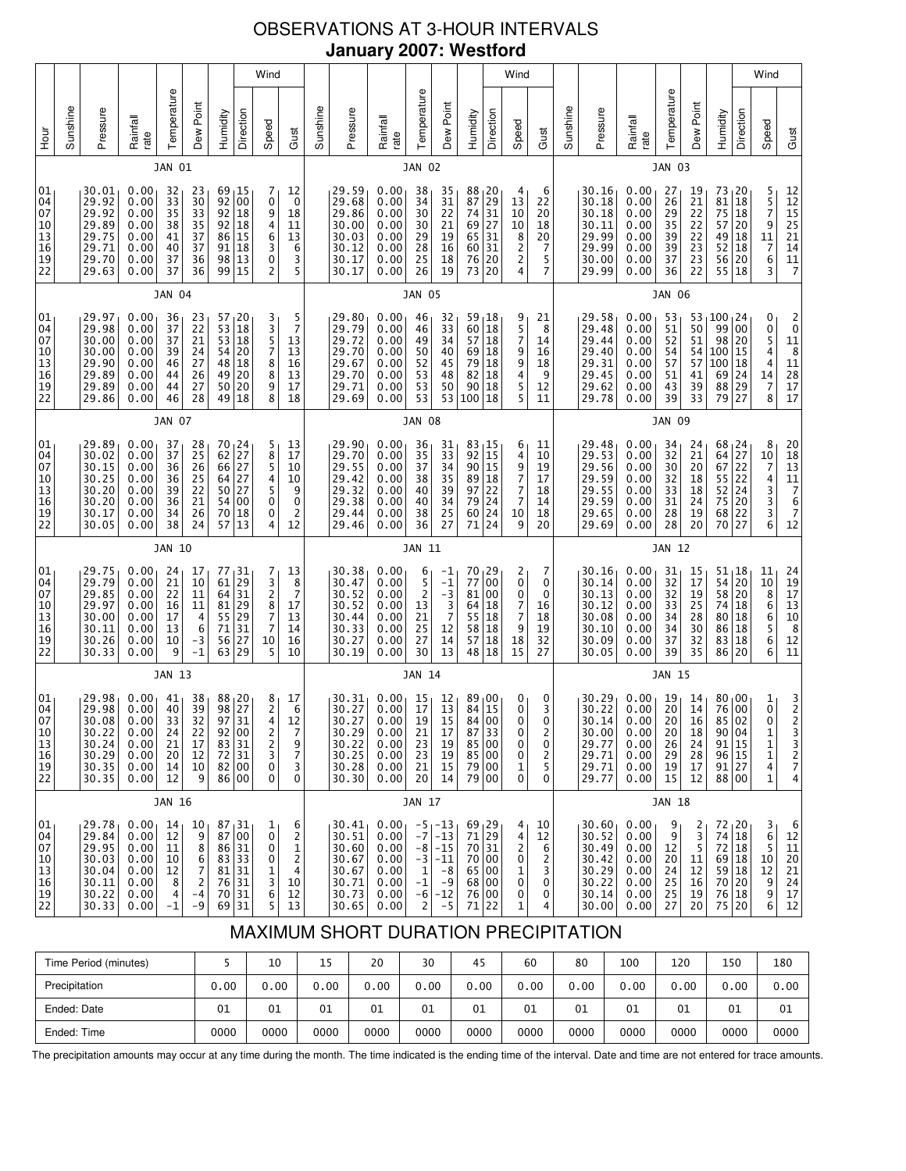# OBSERVATIONS AT 3-HOUR INTERVALS **January 2007: Westford**

| 10<br>13<br>16<br>19<br>22<br>01<br>04<br>07<br>10<br>13<br>16<br>19                   |
|----------------------------------------------------------------------------------------|
|                                                                                        |
| 30.17<br>30.05<br>29.75<br>29.79<br>29.85<br>29.97<br>30.00<br>30.11<br>30.26          |
| 0.00<br>0.00<br>0.00<br>0.00<br>0.00<br>0.00<br>0.00<br>0.00<br>0.00                   |
| 34<br>38<br>JAN 10<br>24<br>21<br>22<br>16<br>17<br>13<br>10                           |
| 26<br>24<br>17<br>10<br>11<br>11<br>4<br>6<br>-3                                       |
| 70<br>57<br>77,31<br>61<br>64<br>81<br>55<br>71<br>56                                  |
| 18<br>13<br>29<br>$rac{31}{29}$<br>31<br>27                                            |
| 0<br>0<br>4<br>7<br>$\frac{3}{2}$<br>$\begin{array}{c} 8 \\ 7 \end{array}$<br>7<br>10  |
| 0<br>2<br>12<br>13<br>$\begin{array}{c} 8 \\ 7 \end{array}$<br>17<br>13<br>14<br>16    |
|                                                                                        |
| 29.38<br>29.44<br>29.46<br>30.38<br>30.47<br>30.52<br>30.52<br>30.44<br>30.33<br>30.27 |
| 0.00<br>0.00<br>0.00<br>0.00<br>0.00<br>0.00<br>0.00<br>0.00<br>0.00<br>0.00           |
| 40<br>38<br>36<br>JAN 11<br>6<br>5<br>$\overline{\mathbf{c}}$<br>13<br>21<br>25<br>27  |
| 39<br>34<br>25<br>27<br>-1<br>$-1$<br>$-3$<br>$3$<br>7<br>12<br>14                     |
| 79<br>60 24<br>71 24<br>70, 29<br>77<br>81 00<br>64<br>55<br>58 18<br>57               |
| 24<br>00<br> 18<br>$\vert$ 18<br>18                                                    |
| 7<br>10<br>9<br>2<br>0<br>0<br>7<br>$\overline{7}$<br>9<br>18                          |
| 14<br>18<br>20<br>7<br>0<br>0<br>16<br>18<br>19<br>32                                  |
|                                                                                        |
| 29.59<br>29.65<br>29.69<br>30.16<br>30.14<br>30.13<br>30.12<br>30.08<br>30.10<br>30.09 |
| 0.00<br>0.00<br>0.00<br>0.00<br>0.00<br>0.00<br>0.00<br>0.00<br>0.00<br>0.00           |
| 31<br>28<br>28<br><b>JAN 12</b><br>31<br>32<br>$\overline{32}$<br>33<br>34<br>34<br>37 |
| 24<br>19<br>20<br>15<br>$\frac{17}{19}$<br>28<br>30<br>32                              |
| 75<br>68 22<br>70<br>54<br>58 20<br>74<br>80<br>86<br>83                               |
| 20<br>27<br>$51_118$<br>20<br>18<br>18<br> 18<br>18                                    |
| $7433$<br>6<br>11<br>$\frac{10}{8}$<br>$\frac{8}{6}$<br>5<br>6                         |
| 20<br>18<br>13<br>11<br>7<br>6<br>7<br>12<br>24<br>19<br>17<br>13<br>10<br>8<br>12     |

# MAXIMUM SHORT DURATION PRECIPITATION

| Time Period (minutes) |      | 10   | 15   | 20   | 30   | 45   | 60   | 80   | 100  | 120  | 150  | 180  |
|-----------------------|------|------|------|------|------|------|------|------|------|------|------|------|
| Precipitation         | 0.00 | 0.00 | 0.00 | 0.00 | 0.00 | 0.00 | 0.00 | 0.00 | 0.00 | 0.00 | 0.00 | 0.00 |
| Ended: Date           | 01   | 01   | 01   | 01   | 01   | 01   | 01   | 01   | 01   | 01   | 01   | 01   |
| Ended: Time           | 0000 | 0000 | 0000 | 0000 | 0000 | 0000 | 0000 | 0000 | 0000 | 0000 | 0000 | 0000 |

The precipitation amounts may occur at any time during the month. The time indicated is the ending time of the interval. Date and time are not entered for trace amounts.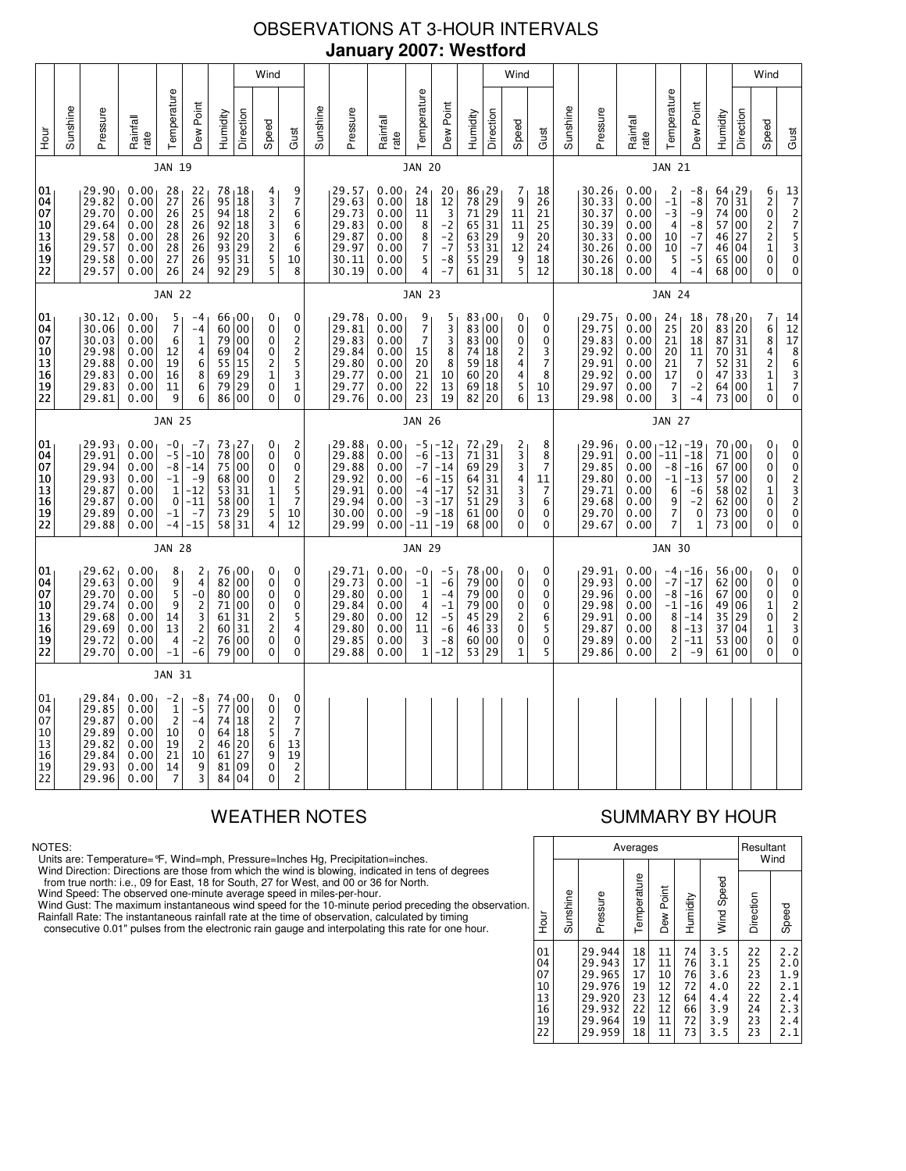# OBSERVATIONS AT 3-HOUR INTERVALS **January 2007: Westford**

|                                              |          |                                                                      |                                                              |                                                              |                                                                                            |                                        |                                                           | Wind                                                                       |                                                                                    |          |                                                                      |                                                              |                                                                               |                                                                         |                                                                                            |                                                           | Wind                                        |                                                     |          |                                                                      |                                                                     |                                                                   |                                                                              |                                                         |                                                | Wind                                                                                                             |                                                                                     |
|----------------------------------------------|----------|----------------------------------------------------------------------|--------------------------------------------------------------|--------------------------------------------------------------|--------------------------------------------------------------------------------------------|----------------------------------------|-----------------------------------------------------------|----------------------------------------------------------------------------|------------------------------------------------------------------------------------|----------|----------------------------------------------------------------------|--------------------------------------------------------------|-------------------------------------------------------------------------------|-------------------------------------------------------------------------|--------------------------------------------------------------------------------------------|-----------------------------------------------------------|---------------------------------------------|-----------------------------------------------------|----------|----------------------------------------------------------------------|---------------------------------------------------------------------|-------------------------------------------------------------------|------------------------------------------------------------------------------|---------------------------------------------------------|------------------------------------------------|------------------------------------------------------------------------------------------------------------------|-------------------------------------------------------------------------------------|
| 군<br>오                                       | Sunshine | Pressure                                                             | Rainfall<br>rate                                             | Temperature                                                  | Dew Point                                                                                  | Humidity                               | Direction                                                 | Speed                                                                      | Gust                                                                               | Sunshine | Pressure                                                             | Rainfall<br>rate                                             | Temperature                                                                   | Dew Point                                                               | Humidity                                                                                   | Direction                                                 | Speed                                       | Gust                                                | Sunshine | Pressure                                                             | Rainfall<br>rate                                                    | Temperature                                                       | Dew Point                                                                    | Humidity                                                | Direction                                      | Speed                                                                                                            | Gust                                                                                |
|                                              |          |                                                                      |                                                              | JAN 19                                                       |                                                                                            |                                        |                                                           |                                                                            |                                                                                    |          |                                                                      |                                                              | <b>JAN 20</b>                                                                 |                                                                         |                                                                                            |                                                           |                                             |                                                     |          |                                                                      |                                                                     | <b>JAN 21</b>                                                     |                                                                              |                                                         |                                                |                                                                                                                  |                                                                                     |
| 01<br>04<br>07<br>10<br>13<br>16<br>19<br>22 |          | 29.90<br>29.82<br>29.70<br>29.64<br>29.58<br>29.57<br>29.58<br>29.57 | 0.00<br>0.00<br>0.00<br>0.00<br>0.00<br>0.00<br>0.00<br>0.00 | 28<br>27<br>26<br>28<br>28<br>28<br>27<br>26                 | 22<br>26<br>25<br>26<br>26<br>26<br>26<br>24                                               | 95<br>94<br>92<br>92<br>93<br>95       | 78, 18<br>18<br>18<br>18<br>20<br>29<br>31<br>92 29       | 4<br>$\begin{array}{c} 3 \\ 2 \\ 3 \end{array}$<br>3<br>2<br>5<br>5        | 9<br>$\overline{7}$<br>6<br>6<br>6<br>6<br>10<br>8                                 |          | 29.57<br>29.63<br>29.73<br>29.83<br>29.87<br>29.97<br>30.11<br>30.19 | 0.00<br>0.00<br>0.00<br>0.00<br>0.00<br>0.00<br>0.00<br>0.00 | 24<br>18<br>11<br>8<br>8<br>$\overline{7}$<br>5<br>4                          | 20<br>12<br>$\frac{3}{2}$<br>$-2$<br>$-7$<br>-8<br>$-7$                 | 86, 29<br>78<br>71<br>65<br>63<br>53<br>55<br>61                                           | 29<br>29<br>31<br>29<br>31<br>29<br>31                    | 7<br>9<br>11<br>11<br>9<br>12<br>9<br>5     | 18<br>26<br>21<br>25<br>20<br>24<br>18<br>12        |          | 30.26<br>30.33<br>30.37<br>30.39<br>30.33<br>30.26<br>30.26<br>30.18 | 0.00<br>0.00<br>0.00<br>0.00<br>0.00<br>0.00<br>0.00<br>0.00        | 2<br>$-1$<br>$-3$<br>$\overline{4}$<br>10<br>10<br>5<br>4         | -8<br>$-8$<br>-9<br>-8<br>$-7$<br>$-7$<br>$-5$<br>$-4$                       | 64, 29<br>70<br>74<br>57<br>46<br>46<br>65<br>68 00     | 31<br>00<br>00<br>27<br>04<br>00               | 6<br>$\begin{matrix} 2 \\ 0 \end{matrix}$<br>$\overline{\mathbf{c}}$<br>$\overline{c}$<br>$\mathbf{1}$<br>0<br>0 | $\begin{bmatrix} 13 \\ 7 \\ 2 \\ 7 \\ 5 \\ 3 \\ 0 \end{bmatrix}$<br>0               |
|                                              |          |                                                                      |                                                              | <b>JAN 22</b>                                                |                                                                                            |                                        |                                                           |                                                                            |                                                                                    |          |                                                                      |                                                              | <b>JAN 23</b>                                                                 |                                                                         |                                                                                            |                                                           |                                             |                                                     |          |                                                                      |                                                                     | <b>JAN 24</b>                                                     |                                                                              |                                                         |                                                |                                                                                                                  |                                                                                     |
| 01<br>04<br>07<br>10<br>13<br>16<br>19<br>22 |          | 30.12<br>30.06<br>30.03<br>29.98<br>29.88<br>29.83<br>29.83<br>29.81 | 0.00<br>0.00<br>0.00<br>0.00<br>0.00<br>0.00<br>0.00<br>0.00 | 5<br>$\overline{7}$<br>6<br>12<br>19<br>16<br>11<br>9        | -4<br>$-4$<br>1<br>4<br>6<br>8<br>6<br>6                                                   | 60<br>79<br>69<br>55<br>69<br>79<br>86 | 66,00<br>00<br>00<br>04<br>15<br>29<br>29<br>00           | 0<br>$\pmb{0}$<br>0<br>0<br>$\overline{\mathbf{c}}$<br>1<br>$\pmb{0}$<br>0 | 0<br>0<br>$\overline{c}$<br>$\overline{\mathbf{c}}$<br>5<br>3<br>$\mathbf{1}$<br>0 |          | 29.78<br>29.81<br>29.83<br>29.84<br>29.80<br>29.77<br>29.77<br>29.76 | 0.00<br>0.00<br>0.00<br>0.00<br>0.00<br>0.00<br>0.00<br>0.00 | 9<br>7<br>$\overline{7}$<br>15<br>20<br>21<br>22<br>23                        | 5<br>3<br>3<br>8<br>8<br>10<br>13<br>19                                 | 83,00<br>83<br>83<br>74<br>59<br>60<br>69<br>82                                            | 00<br>00<br>18<br>18<br>20<br>18<br>20                    | 0<br>0<br>0<br>2<br>4<br>4<br>5<br>6        | 0<br>0<br>0<br>3<br>$\overline{7}$<br>8<br>10<br>13 |          | 29.75<br>29.75<br>29.83<br>29.92<br>29.91<br>29.92<br>29.97<br>29.98 | 0.00<br>0.00<br>0.00<br>0.00<br>0.00<br>0.00<br>0.00<br>0.00        | 24<br>25<br>21<br>20<br>21<br>17<br>$\overline{7}$<br>3           | 18<br>20<br>18<br>11<br>7<br>0<br>-2<br>$-4$                                 | 78<br>83<br>87<br>70<br>52<br>47<br>64<br>73            | 20  <br>20<br>31<br>31<br>31<br>33<br>00<br>00 | 7<br>6<br>$\bar{8}$<br>4<br>$\overline{\mathbf{c}}$<br>$\mathbf 1$<br>$\mathbf{1}$<br>0                          | $\begin{array}{c} 14 \\ 12 \end{array}$<br>$\overline{17}$<br>8<br>6<br>3<br>7<br>0 |
|                                              |          |                                                                      |                                                              | <b>JAN 25</b>                                                |                                                                                            |                                        |                                                           |                                                                            |                                                                                    |          |                                                                      |                                                              | <b>JAN 26</b>                                                                 |                                                                         |                                                                                            |                                                           |                                             |                                                     |          |                                                                      |                                                                     | <b>JAN 27</b>                                                     |                                                                              |                                                         |                                                |                                                                                                                  |                                                                                     |
| 01<br>04<br>07<br>10<br>13<br>16<br>19<br>22 |          | 29.93<br>29.91<br>29.94<br>29.93<br>29.87<br>29.87<br>29.89<br>29.88 | 0.00<br>0.00<br>0.00<br>0.00<br>0.00<br>0.00<br>0.00<br>0.00 | -0<br>$-5$<br>-8<br>$-1$<br>$\mathbf 1$<br>0<br>$-1$<br>$-4$ | $-7$<br>$-10$<br>$-14$<br>-9<br>$-12$<br>$-11$<br>$-7$<br>$-15$                            | 78<br>75<br>53<br>58                   | 73, 27<br>00<br>00<br>68 00<br>31<br>00<br>73 29<br>58 31 | 0<br>0<br>0<br>0<br>1<br>$\frac{1}{5}$<br>4                                | 2<br>0<br>0<br>2<br>5<br>7<br>10<br>12                                             |          | 29.88<br>29.88<br>29.88<br>29.92<br>29.91<br>29.94<br>30.00<br>29.99 | 0.00<br>0.00<br>0.00<br>0.00<br>0.00<br>0.00<br>0.00<br>0.00 | -5<br>$-6$<br>$-7$<br>-6<br>$-4$<br>$-3$<br>$-9$<br>$-11$                     | $1 - 12$<br>$-13$<br>$-14$<br>$-15$<br>$-17$<br>$-17$<br>$-18$<br>$-19$ | $\begin{array}{c} 72 \\ 71 \overline{)31} \end{array}$<br>69<br>64<br>52<br>51<br>61<br>68 | 29<br>31<br>31<br>29<br>00<br>00                          | 2<br>3<br>3<br>4<br>$\frac{3}{3}$<br>0<br>0 | 8<br>8<br>7<br>11<br>7<br>6<br>0<br>0               |          | 29.96<br>29.91<br>29.85<br>29.80<br>29.71<br>29.68<br>29.70<br>29.67 | $0.00 - 12$<br>0.00<br>0.00<br>0.00<br>0.00<br>0.00<br>0.00<br>0.00 | $-11$<br>-8<br>$-1$<br>6<br>9<br>$\overline{7}$<br>$\overline{7}$ | 1-19<br>$-18$<br>$-16$<br>-13<br>$-6$<br>$-2$<br>$\mathbf 0$<br>$\mathbf{1}$ | $70_{1}00$<br>71<br>67<br>57<br>58<br>62<br>73<br>73 00 | 00<br>00<br>00<br>02<br>00<br>00               | 0<br>0<br>0<br>0<br>1<br>0<br>0<br>0                                                                             | 0<br>0023200                                                                        |
|                                              |          |                                                                      |                                                              | <b>JAN 28</b>                                                |                                                                                            |                                        |                                                           |                                                                            |                                                                                    |          |                                                                      |                                                              | <b>JAN 29</b>                                                                 |                                                                         |                                                                                            |                                                           |                                             |                                                     |          |                                                                      |                                                                     | <b>JAN 30</b>                                                     |                                                                              |                                                         |                                                |                                                                                                                  |                                                                                     |
| 01<br>04<br>07<br>10<br>13<br>16<br>19<br>22 |          | 29.62<br>29.63<br>29.70<br>29.74<br>29.68<br>29.69<br>29.72<br>29.70 | 0.00<br>0.00<br>0.00<br>0.00<br>0.00<br>0.00<br>0.00<br>0.00 | 8<br>9<br>5<br>9<br>14<br>13<br>4<br>$-1$                    | 2<br>$\overline{4}$<br>-0<br>$\overline{c}$<br>3<br>$\mathbf 2$<br>$-\overline{2}$<br>$-6$ | 82<br>80<br>61<br>60<br>76<br>79       | 76 00<br>00<br>00<br>71 00<br>31<br>31<br>00<br>00        | 0<br>0<br>0<br>0<br>$\frac{2}{2}$<br>$\pmb{0}$<br>0                        | 0<br>0<br>0<br>0<br>5<br>4<br>0<br>0                                               |          | 29.71<br>29.73<br>29.80<br>29.84<br>29.80<br>29.80<br>29.85<br>29.88 | 0.00<br>0.00<br>0.00<br>0.00<br>0.00<br>0.00<br>0.00<br>0.00 | -0<br>$-1$<br>$\mathbf{1}$<br>$\overline{4}$<br>12<br>11<br>3<br>$\mathbf{1}$ | -5<br>$-6$<br>$-4$<br>$-1$<br>$-5$<br>$-6$<br>$-8$<br>$-12$             | 78<br>79<br>79<br>79<br>45<br>46<br>60<br>53                                               | $\overline{00}$<br>00<br>00<br>00<br>29<br>33<br>00<br>29 | 0<br>0<br>0<br>0<br>2<br>0<br>0<br>1        | 0<br>0<br>0<br>0<br>6<br>5<br>0<br>5                |          | 29.91<br>29.93<br>29.96<br>29.98<br>29.91<br>29.87<br>29.89<br>29.86 | 0.00<br>0.00<br>0.00<br>0.00<br>0.00<br>0.00<br>0.00<br>0.00        | $-4$<br>$-7$<br>$-8$<br>$-1$<br>8<br>8<br>2<br>$\overline{c}$     | ∣ -16<br>$-17$<br>$-16$<br>$-16$<br>$-14$<br>$-13$<br>$-11$<br>-9            | 56 00<br>62<br>67<br>49<br>35<br>37<br>53<br>61         | 00<br>00<br>06<br>29<br>04<br>00<br>00         | 0<br>0<br>0<br>1<br>0<br>$\mathbf 1$<br>0<br>0                                                                   | 0002230<br>0                                                                        |
|                                              |          |                                                                      |                                                              | JAN 31                                                       |                                                                                            |                                        |                                                           |                                                                            |                                                                                    |          |                                                                      |                                                              |                                                                               |                                                                         |                                                                                            |                                                           |                                             |                                                     |          |                                                                      |                                                                     |                                                                   |                                                                              |                                                         |                                                |                                                                                                                  |                                                                                     |
| 01<br>04<br>07<br>10<br>13<br>16<br>19<br>22 |          | 29.84<br>29.85<br>29.87<br>29.89<br>29.82<br>29.84<br>29.93<br>29.96 | 0.00<br>0.00<br>0.00<br>0.00<br>0.00<br>0.00<br>0.00<br>0.00 | $^{-2}$ 1<br>$\overline{2}$<br>10<br>19<br>21<br>14<br>7     | -8<br>$-5$<br>$-4$<br>0<br>2<br>10<br>9<br>3                                               | 77<br>74<br>64<br>46<br>61<br>81<br>84 | 74,00<br>00<br>18<br>18<br>20<br>27<br>09<br>04           | 0<br>0<br>2<br>5<br>6<br>$\overline{9}$<br>$\pmb{0}$<br>0                  | 0<br>0<br>7<br>$\overline{7}$<br>13<br>19<br>$\overline{\mathbf{c}}$<br>2          |          |                                                                      |                                                              |                                                                               |                                                                         |                                                                                            |                                                           |                                             |                                                     |          |                                                                      |                                                                     |                                                                   |                                                                              |                                                         |                                                |                                                                                                                  |                                                                                     |

### NOTES:

Units are: Temperature=°F, Wind=mph, Pressure=Inches Hg, Precipitation=inches.

Wind Direction: Directions are those from which the wind is blowing, indicated in tens of degrees<br>from true north: i.e., 09 for East, 18 for South, 27 for West, and 00 or 36 for North.<br>Wind Speed: The observed one-minute a

Wind Gust: The maximum instantaneous wind speed for the 10-minute period preceding the observation Rainfall Rate: The instantaneous rainfall rate at the time of observation, calculated by timing

consecutive 0.01" pulses from the electronic rain gauge and interpolating this rate for one hour.

# WEATHER NOTES SUMMARY BY HOUR

|    |                                              |          |                                                                              | Averages                                     |                                              |                                              |                                                      | Resultant                                                 | Wind                                                 |
|----|----------------------------------------------|----------|------------------------------------------------------------------------------|----------------------------------------------|----------------------------------------------|----------------------------------------------|------------------------------------------------------|-----------------------------------------------------------|------------------------------------------------------|
| n. | Hour                                         | Sunshine | Pressure                                                                     | Temperature                                  | Dew Point                                    | Humidity                                     | Wind Speed                                           | Direction                                                 | Speed                                                |
|    | 01<br>04<br>07<br>10<br>13<br>16<br>19<br>22 |          | 29.944<br>29.943<br>29.965<br>29.976<br>29.920<br>29.932<br>29.964<br>29.959 | 18<br>17<br>17<br>19<br>23<br>22<br>19<br>18 | 11<br>11<br>10<br>12<br>12<br>12<br>11<br>11 | 74<br>76<br>76<br>72<br>64<br>66<br>72<br>73 | 3.5<br>3.1<br>3.6<br>4.0<br>4.4<br>3.9<br>3.9<br>3.5 | 22<br>$\overline{25}$<br>23<br>22<br>22<br>24<br>23<br>23 | 2.2<br>2.0<br>1.9<br>2.1<br>2.4<br>2.3<br>2.4<br>2.1 |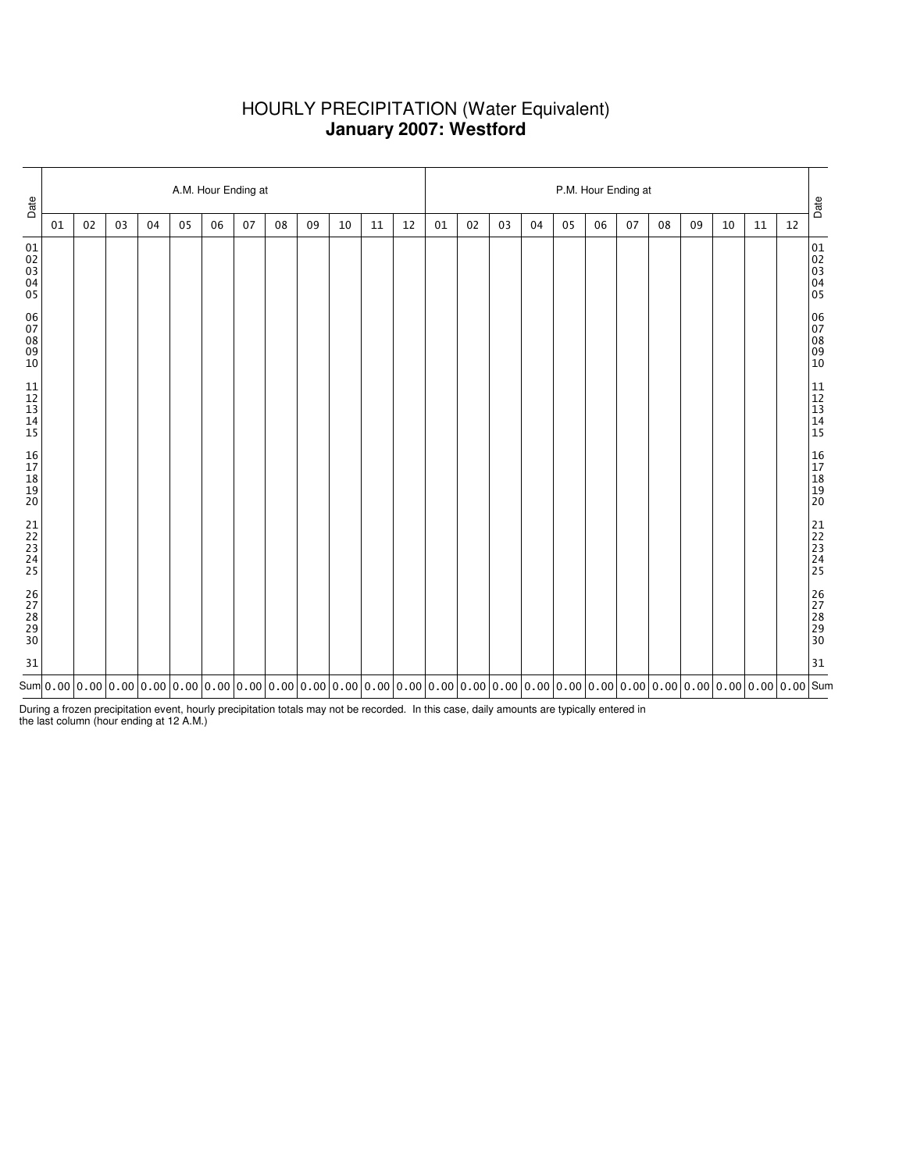## HOURLY PRECIPITATION (Water Equivalent) **January 2007: Westford**

| Date                                                         |    |    |    |    |    |    | A.M. Hour Ending at |                                                                                                                                                                                                                                                                                                |    |    |    |    | P.M. Hour Ending at |    |    |    |    |    |    |    |    |    |    |    | Date                             |
|--------------------------------------------------------------|----|----|----|----|----|----|---------------------|------------------------------------------------------------------------------------------------------------------------------------------------------------------------------------------------------------------------------------------------------------------------------------------------|----|----|----|----|---------------------|----|----|----|----|----|----|----|----|----|----|----|----------------------------------|
|                                                              | 01 | 02 | 03 | 04 | 05 | 06 | 07                  | 08                                                                                                                                                                                                                                                                                             | 09 | 10 | 11 | 12 | 01                  | 02 | 03 | 04 | 05 | 06 | 07 | 08 | 09 | 10 | 11 | 12 |                                  |
| 01<br>02<br>03<br>04<br>05                                   |    |    |    |    |    |    |                     |                                                                                                                                                                                                                                                                                                |    |    |    |    |                     |    |    |    |    |    |    |    |    |    |    |    | 01<br>02<br>03<br>04<br>04<br>05 |
| 06<br>07<br>08<br>09<br>10                                   |    |    |    |    |    |    |                     |                                                                                                                                                                                                                                                                                                |    |    |    |    |                     |    |    |    |    |    |    |    |    |    |    |    | 06<br>07<br>08<br>09<br>09<br>10 |
| $\begin{array}{c} 11 \\ 12 \\ 13 \\ 14 \\ \end{array}$<br>15 |    |    |    |    |    |    |                     |                                                                                                                                                                                                                                                                                                |    |    |    |    |                     |    |    |    |    |    |    |    |    |    |    |    | 11<br>12<br>13<br>14<br>15       |
| 16<br>17<br>18<br>19<br>19<br>20                             |    |    |    |    |    |    |                     |                                                                                                                                                                                                                                                                                                |    |    |    |    |                     |    |    |    |    |    |    |    |    |    |    |    | 16<br>17<br>18<br>19<br>19<br>20 |
| 21<br>22<br>23<br>24<br>25                                   |    |    |    |    |    |    |                     |                                                                                                                                                                                                                                                                                                |    |    |    |    |                     |    |    |    |    |    |    |    |    |    |    |    | 21<br>22<br>23<br>24<br>25       |
| 26<br>27<br>28<br>29<br>29<br>30                             |    |    |    |    |    |    |                     |                                                                                                                                                                                                                                                                                                |    |    |    |    |                     |    |    |    |    |    |    |    |    |    |    |    | 26<br>27<br>28<br>29<br>29<br>30 |
| 31                                                           |    |    |    |    |    |    |                     |                                                                                                                                                                                                                                                                                                |    |    |    |    |                     |    |    |    |    |    |    |    |    |    |    |    | 31                               |
|                                                              |    |    |    |    |    |    |                     | Sum $ $ 0.00 $ $ 0.00 $ $ 0.00 $ $ 0.00 $ $ 0.00 $ $ 0.00 $ $ 0.00 $ $ 0.00 $ $ 0.00 $ $ 0.00 $ $ 0.00 $ $ 0.00 $ $ 0.00 $ $ 0.00 $ $ 0.00 $ $ 0.00 $ $ 0.00 $ $ 0.00 $ $ 0.00 $ $ 0.00 $ $ 0.00 $ $ 0.00 $ $ 0.00 $ $ 0.00 $ $ 0.00 $ $ 0.00 $ $ 0.00 $ $ 0.00 $ $ 0.00 $ $ 0.00 $ $ 0.00 $ $ |    |    |    |    |                     |    |    |    |    |    |    |    |    |    |    |    |                                  |

During a frozen precipitation event, hourly precipitation totals may not be recorded. In this case, daily amounts are typically entered in the last column (hour ending at 12 A.M.)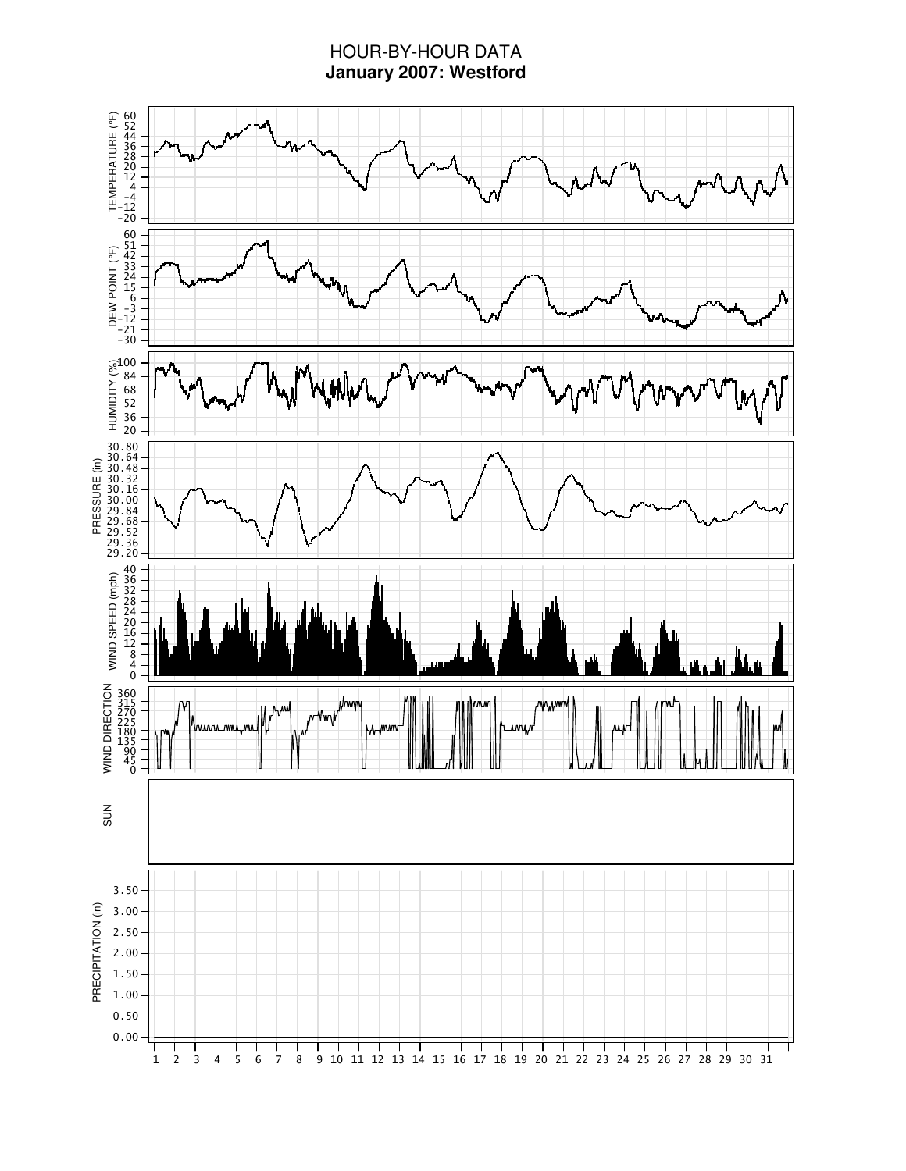# HOUR-BY-HOUR DATA **January 2007: Westford**